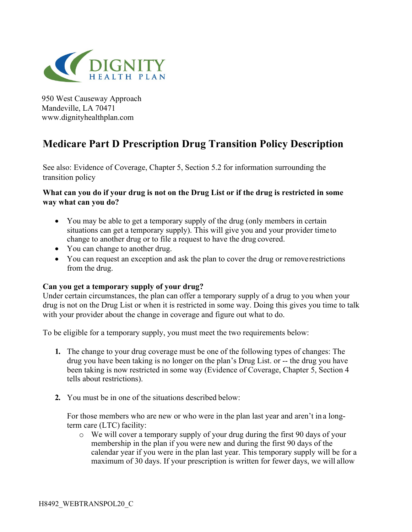

950 West Causeway Approach Mandeville, LA 70471 www.dignityhealthplan.com

# **Medicare Part D Prescription Drug Transition Policy Description**

See also: Evidence of Coverage, Chapter 5, Section 5.2 for information surrounding the transition policy

## **What can you do if your drug is not on the Drug List or if the drug is restricted in some way what can you do?**

- You may be able to get a temporary supply of the drug (only members in certain situations can get a temporary supply). This will give you and your provider timeto change to another drug or to file a request to have the drug covered.
- You can change to another drug.
- You can request an exception and ask the plan to cover the drug or remove restrictions from the drug.

### **Can you get a temporary supply of your drug?**

Under certain circumstances, the plan can offer a temporary supply of a drug to you when your drug is not on the Drug List or when it is restricted in some way. Doing this gives you time to talk with your provider about the change in coverage and figure out what to do.

To be eligible for a temporary supply, you must meet the two requirements below:

- **1.** The change to your drug coverage must be one of the following types of changes: The drug you have been taking is no longer on the plan's Drug List. or -- the drug you have been taking is now restricted in some way (Evidence of Coverage, Chapter 5, Section 4 tells about restrictions).
- **2.** You must be in one of the situations described below:

For those members who are new or who were in the plan last year and aren't in a longterm care (LTC) facility:

o We will cover a temporary supply of your drug during the first 90 days of your membership in the plan if you were new and during the first 90 days of the calendar year if you were in the plan last year. This temporary supply will be for a maximum of 30 days. If your prescription is written for fewer days, we will allow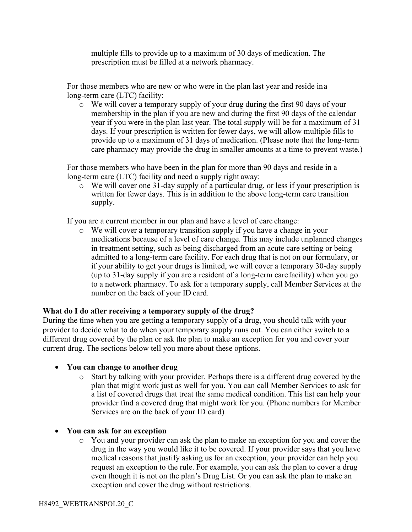multiple fills to provide up to a maximum of 30 days of medication. The prescription must be filled at a network pharmacy.

For those members who are new or who were in the plan last year and reside ina long-term care (LTC) facility:

o We will cover a temporary supply of your drug during the first 90 days of your membership in the plan if you are new and during the first 90 days of the calendar year if you were in the plan last year. The total supply will be for a maximum of 31 days. If your prescription is written for fewer days, we will allow multiple fills to provide up to a maximum of 31 days of medication. (Please note that the long-term care pharmacy may provide the drug in smaller amounts at a time to prevent waste.)

For those members who have been in the plan for more than 90 days and reside in a long-term care (LTC) facility and need a supply right away:

o We will cover one 31-day supply of a particular drug, or less if your prescription is written for fewer days. This is in addition to the above long-term care transition supply.

If you are a current member in our plan and have a level of care change:

o We will cover a temporary transition supply if you have a change in your medications because of a level of care change. This may include unplanned changes in treatment setting, such as being discharged from an acute care setting or being admitted to a long-term care facility. For each drug that is not on our formulary, or if your ability to get your drugs is limited, we will cover a temporary 30-day supply (up to 31-day supply if you are a resident of a long-term carefacility) when you go to a network pharmacy. To ask for a temporary supply, call Member Services at the number on the back of your ID card.

### **What do I do after receiving a temporary supply of the drug?**

During the time when you are getting a temporary supply of a drug, you should talk with your provider to decide what to do when your temporary supply runs out. You can either switch to a different drug covered by the plan or ask the plan to make an exception for you and cover your current drug. The sections below tell you more about these options.

### • **You can change to another drug**

- o Start by talking with your provider. Perhaps there is a different drug covered by the plan that might work just as well for you. You can call Member Services to ask for a list of covered drugs that treat the same medical condition. This list can help your provider find a covered drug that might work for you. (Phone numbers for Member Services are on the back of your ID card)
- **You can ask for an exception**
	- o You and your provider can ask the plan to make an exception for you and cover the drug in the way you would like it to be covered. If your provider says that you have medical reasons that justify asking us for an exception, your provider can help you request an exception to the rule. For example, you can ask the plan to cover a drug even though it is not on the plan's Drug List. Or you can ask the plan to make an exception and cover the drug without restrictions.